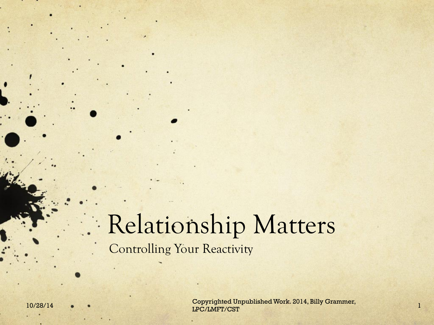#### Relationship Matters Controlling Your Reactivity

10/28/14 • • • Copyrighted Unpublished Work. 2014, Billy Grammer, 1998. [1] IPC/LMFT/CST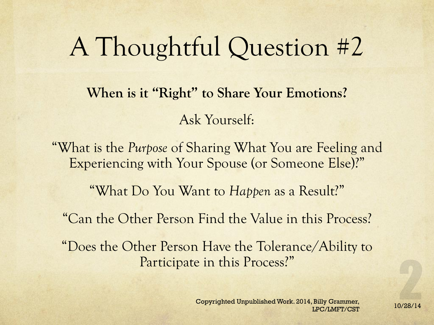### A Thoughtful Question #2

**When is it "Right" to Share Your Emotions?**  Ask Yourself:

"What is the *Purpose* of Sharing What You are Feeling and Experiencing with Your Spouse (or Someone Else)?"

"What Do You Want to *Happen* as a Result?"

"Can the Other Person Find the Value in this Process?

"Does the Other Person Have the Tolerance/Ability to Participate in this Process?"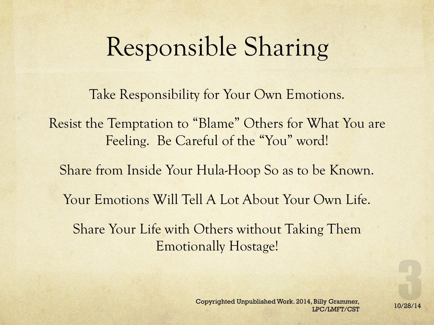## Responsible Sharing

Take Responsibility for Your Own Emotions.

Resist the Temptation to "Blame" Others for What You are Feeling. Be Careful of the "You" word!

Share from Inside Your Hula-Hoop So as to be Known.

Your Emotions Will Tell A Lot About Your Own Life.

Share Your Life with Others without Taking Them Emotionally Hostage!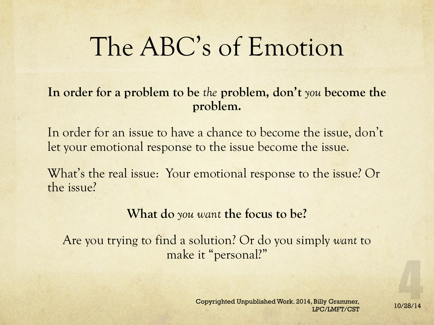#### The ABC's of Emotion

#### **In order for a problem to be** *the* **problem, don't** *you* **become the problem.**

In order for an issue to have a chance to become the issue, don't let your emotional response to the issue become the issue.

What's the real issue: Your emotional response to the issue? Or the issue?

#### **What do** *you want* **the focus to be?**

Are you trying to find a solution? Or do you simply *want* to make it "personal?"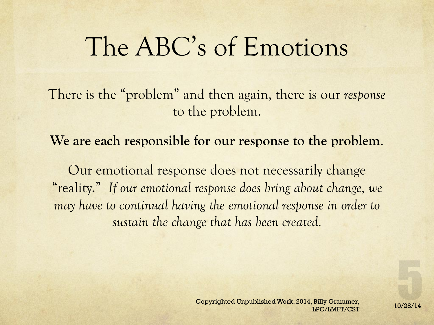#### The ABC's of Emotions

There is the "problem" and then again, there is our *response* to the problem.

**We are each responsible for our response to the problem**.

Our emotional response does not necessarily change "reality." *If our emotional response does bring about change, we may have to continual having the emotional response in order to sustain the change that has been created.*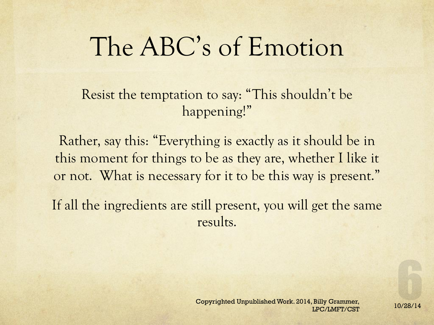#### The ABC's of Emotion

Resist the temptation to say: "This shouldn't be happening!"

Rather, say this: "Everything is exactly as it should be in this moment for things to be as they are, whether I like it or not. What is necessary for it to be this way is present."

If all the ingredients are still present, you will get the same results.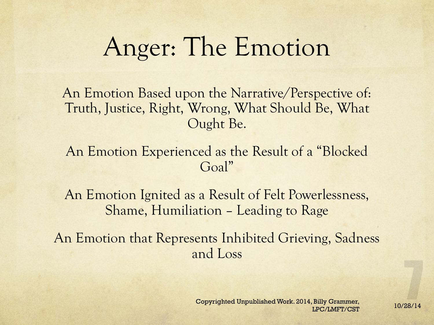#### Anger: The Emotion

An Emotion Based upon the Narrative/Perspective of: Truth, Justice, Right, Wrong, What Should Be, What Ought Be.

#### An Emotion Experienced as the Result of a "Blocked Goal"

An Emotion Ignited as a Result of Felt Powerlessness, Shame, Humiliation – Leading to Rage

An Emotion that Represents Inhibited Grieving, Sadness and Loss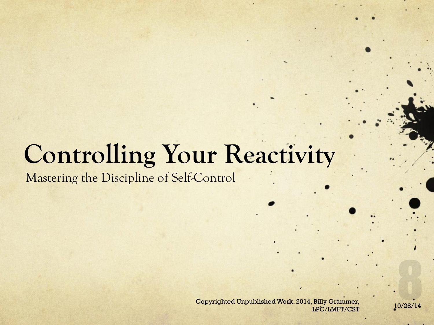## **Controlling Your Reactivity**

Mastering the Discipline of Self-Control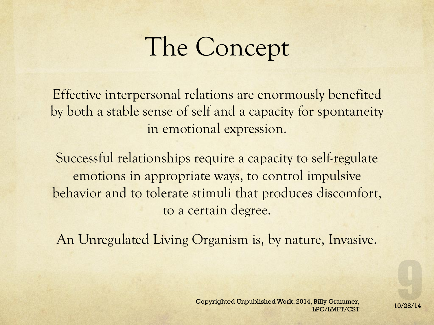# The Concept

Effective interpersonal relations are enormously benefited by both a stable sense of self and a capacity for spontaneity in emotional expression.

Successful relationships require a capacity to self-regulate emotions in appropriate ways, to control impulsive behavior and to tolerate stimuli that produces discomfort, to a certain degree.

An Unregulated Living Organism is, by nature, Invasive.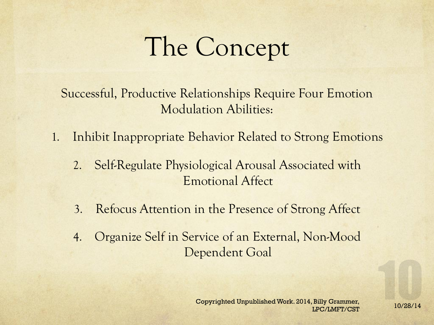# The Concept

Successful, Productive Relationships Require Four Emotion Modulation Abilities:

- 1. Inhibit Inappropriate Behavior Related to Strong Emotions
	- 2. Self-Regulate Physiological Arousal Associated with Emotional Affect
	- 3. Refocus Attention in the Presence of Strong Affect
	- 4. Organize Self in Service of an External, Non-Mood Dependent Goal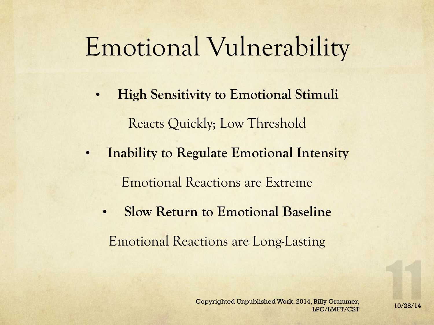### Emotional Vulnerability

- **High Sensitivity to Emotional Stimuli**  Reacts Quickly; Low Threshold
- **Inability to Regulate Emotional Intensity**  Emotional Reactions are Extreme
	- **Slow Return to Emotional Baseline**  Emotional Reactions are Long-Lasting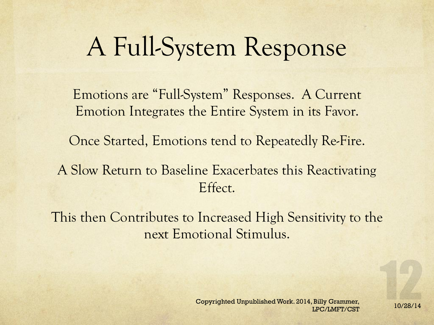### A Full-System Response

Emotions are "Full-System" Responses. A Current Emotion Integrates the Entire System in its Favor.

Once Started, Emotions tend to Repeatedly Re-Fire.

A Slow Return to Baseline Exacerbates this Reactivating Effect.

This then Contributes to Increased High Sensitivity to the next Emotional Stimulus.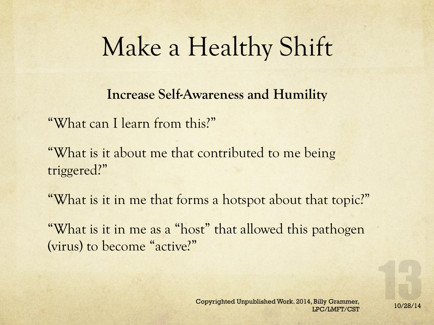**Increase Self-Awareness and Humility** 

"What can I learn from this?"

"What is it about me that contributed to me being triggered?"

"What is it in me that forms a hotspot about that topic?"

"What is it in me as a "host" that allowed this pathogen (virus) to become "active?"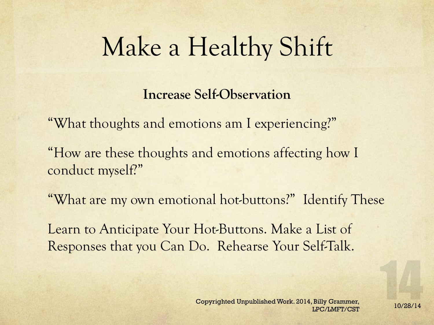**Increase Self-Observation** 

"What thoughts and emotions am I experiencing?"

"How are these thoughts and emotions affecting how I conduct myself?"

"What are my own emotional hot-buttons?" Identify These

Learn to Anticipate Your Hot-Buttons. Make a List of Responses that you Can Do. Rehearse Your Self-Talk.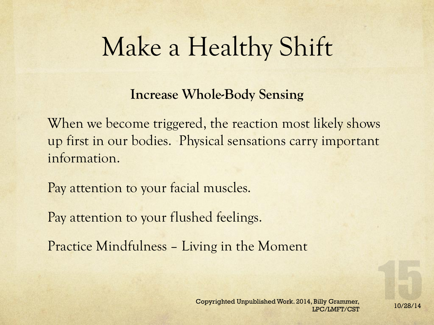#### **Increase Whole-Body Sensing**

When we become triggered, the reaction most likely shows up first in our bodies. Physical sensations carry important information.

Pay attention to your facial muscles.

Pay attention to your flushed feelings.

Practice Mindfulness – Living in the Moment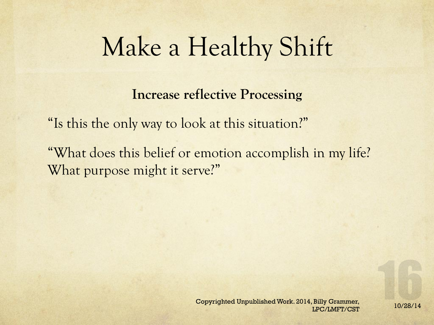**Increase reflective Processing** 

"Is this the only way to look at this situation?"

"What does this belief or emotion accomplish in my life? What purpose might it serve?"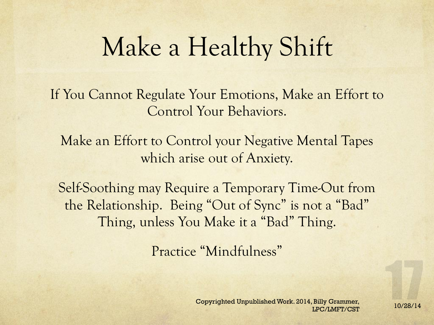If You Cannot Regulate Your Emotions, Make an Effort to Control Your Behaviors.

Make an Effort to Control your Negative Mental Tapes which arise out of Anxiety.

Self-Soothing may Require a Temporary Time-Out from the Relationship. Being "Out of Sync" is not a "Bad" Thing, unless You Make it a "Bad" Thing.

Practice "Mindfulness"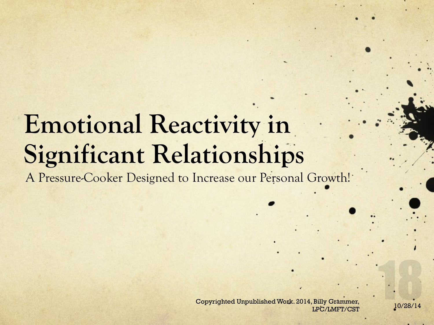## **Emotional Reactivity in Significant Relationships**

A Pressure-Cooker Designed to Increase our Personal Growth!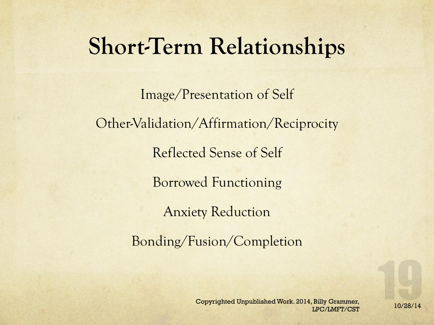#### **Short-Term Relationships**

Image/Presentation of Self Other-Validation/Affirmation/Reciprocity Reflected Sense of Self Borrowed Functioning Anxiety Reduction Bonding/Fusion/Completion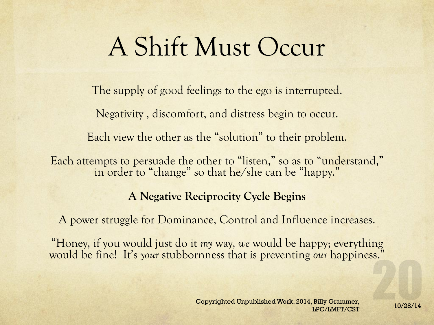## A Shift Must Occur

The supply of good feelings to the ego is interrupted.

Negativity , discomfort, and distress begin to occur.

Each view the other as the "solution" to their problem.

Each attempts to persuade the other to "listen," so as to "understand," in order to "change" so that he/she can be "happy."

#### **A Negative Reciprocity Cycle Begins**

A power struggle for Dominance, Control and Influence increases.

"Honey, if you would just do it *my* way, *we* would be happy; everything would be fine! It's *your* stubbornness that is preventing *our* happiness."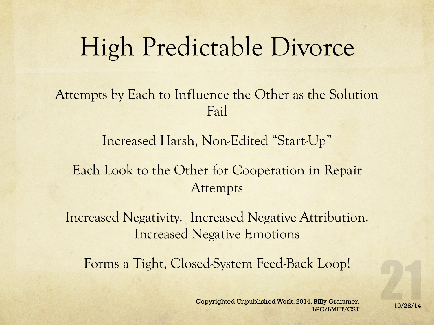### High Predictable Divorce

#### Attempts by Each to Influence the Other as the Solution Fail

Increased Harsh, Non-Edited "Start-Up"

#### Each Look to the Other for Cooperation in Repair Attempts

Increased Negativity. Increased Negative Attribution. Increased Negative Emotions

Forms a Tight, Closed-System Feed-Back Loop!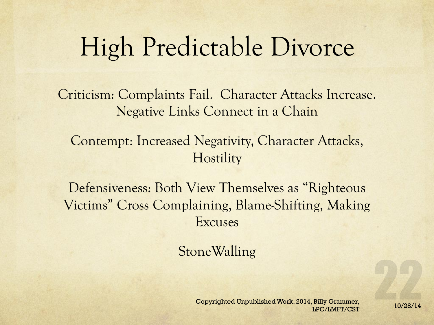#### High Predictable Divorce

Criticism: Complaints Fail. Character Attacks Increase. Negative Links Connect in a Chain

Contempt: Increased Negativity, Character Attacks, **Hostility** 

Defensiveness: Both View Themselves as "Righteous Victims" Cross Complaining, Blame-Shifting, Making Excuses

**StoneWalling**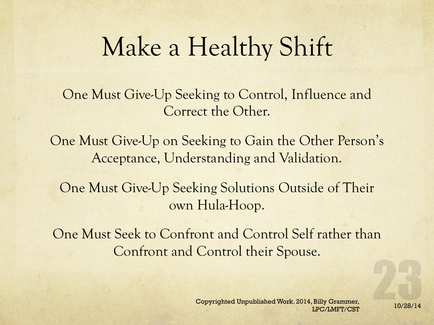One Must Give-Up Seeking to Control, Influence and Correct the Other.

One Must Give-Up on Seeking to Gain the Other Person's Acceptance, Understanding and Validation.

One Must Give-Up Seeking Solutions Outside of Their own Hula-Hoop.

One Must Seek to Confront and Control Self rather than Confront and Control their Spouse.